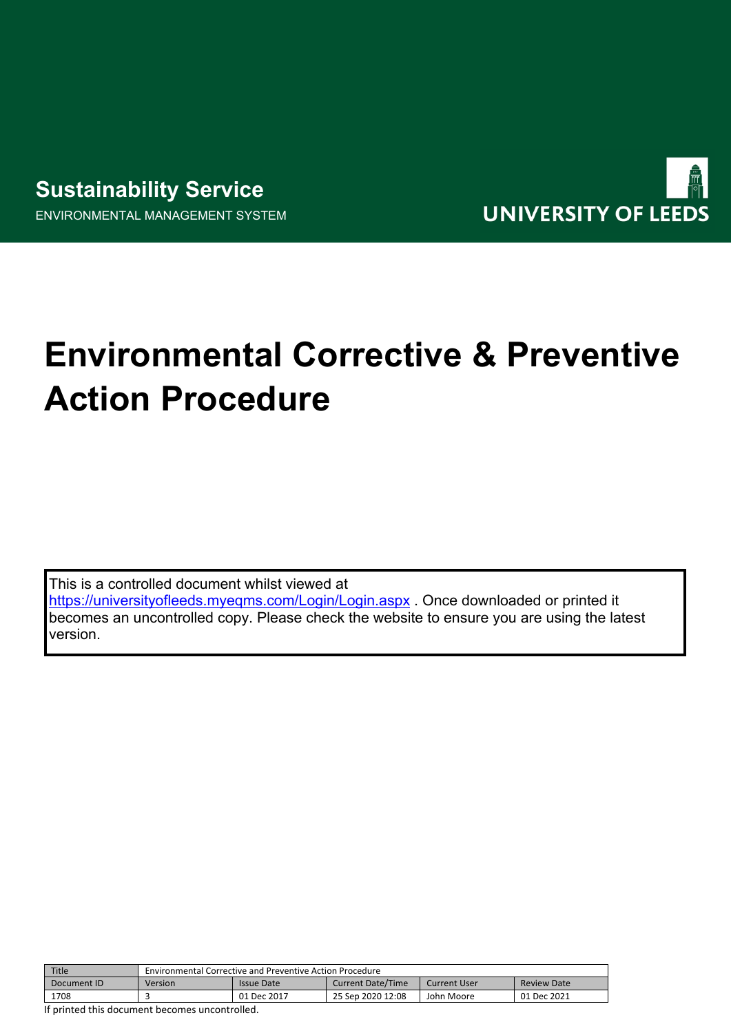# **Sustainability Service** ENVIRONMENTAL MANAGEMENT SYSTEM



# **Environmental Corrective & Preventive Action Procedure**

This is a controlled document whilst viewed at <https://universityofleeds.myeqms.com/Login/Login.aspx> . Once downloaded or printed it becomes an uncontrolled copy. Please check the website to ensure you are using the latest version.

| Title       | <b>Environmental Corrective and Preventive Action Procedure</b> |             |                          |              |                    |
|-------------|-----------------------------------------------------------------|-------------|--------------------------|--------------|--------------------|
| Document ID | Version                                                         | Issue Date  | <b>Current Date/Time</b> | Current User | <b>Review Date</b> |
| 1708        |                                                                 | 01 Dec 2017 | 25 Sep 2020 12:08        | John Moore   | 01 Dec 2021        |

If printed this document becomes uncontrolled.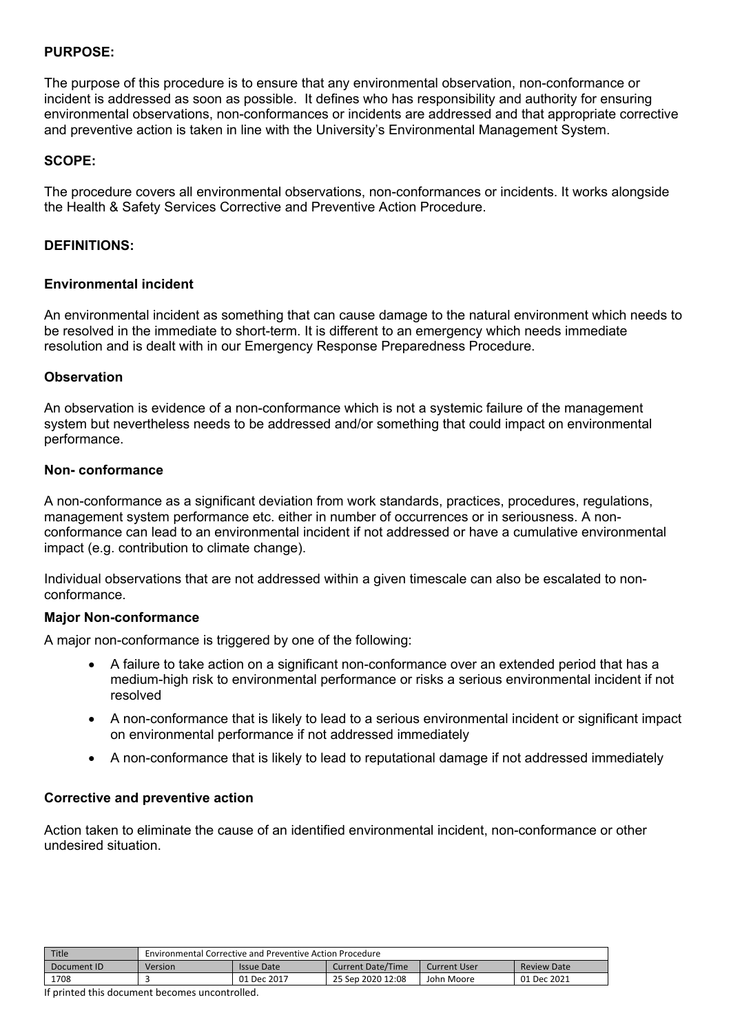## **PURPOSE:**

The purpose of this procedure is to ensure that any environmental observation, non-conformance or incident is addressed as soon as possible. It defines who has responsibility and authority for ensuring environmental observations, non-conformances or incidents are addressed and that appropriate corrective and preventive action is taken in line with the University's Environmental Management System.

#### **SCOPE:**

The procedure covers all environmental observations, non-conformances or incidents. It works alongside the Health & Safety Services Corrective and Preventive Action Procedure.

#### **DEFINITIONS:**

#### **Environmental incident**

An environmental incident as something that can cause damage to the natural environment which needs to be resolved in the immediate to short-term. It is different to an emergency which needs immediate resolution and is dealt with in our Emergency Response Preparedness Procedure.

#### **Observation**

An observation is evidence of a non-conformance which is not a systemic failure of the management system but nevertheless needs to be addressed and/or something that could impact on environmental performance.

#### **Non- conformance**

A non-conformance as a significant deviation from work standards, practices, procedures, regulations, management system performance etc. either in number of occurrences or in seriousness. A nonconformance can lead to an environmental incident if not addressed or have a cumulative environmental impact (e.g. contribution to climate change).

Individual observations that are not addressed within a given timescale can also be escalated to nonconformance.

## **Major Non-conformance**

A major non-conformance is triggered by one of the following:

- A failure to take action on a significant non-conformance over an extended period that has a medium-high risk to environmental performance or risks a serious environmental incident if not resolved
- A non-conformance that is likely to lead to a serious environmental incident or significant impact on environmental performance if not addressed immediately
- A non-conformance that is likely to lead to reputational damage if not addressed immediately

#### **Corrective and preventive action**

Action taken to eliminate the cause of an identified environmental incident, non-conformance or other undesired situation.

| Title       | <b>Environmental Corrective and Preventive Action Procedure</b> |                   |                   |              |                    |
|-------------|-----------------------------------------------------------------|-------------------|-------------------|--------------|--------------------|
| Document ID | Version                                                         | <b>Issue Date</b> | Current Date/Time | Current User | <b>Review Date</b> |
| 1708        |                                                                 | 01 Dec 2017       | 25 Sep 2020 12:08 | John Moore   | 01 Dec 2021        |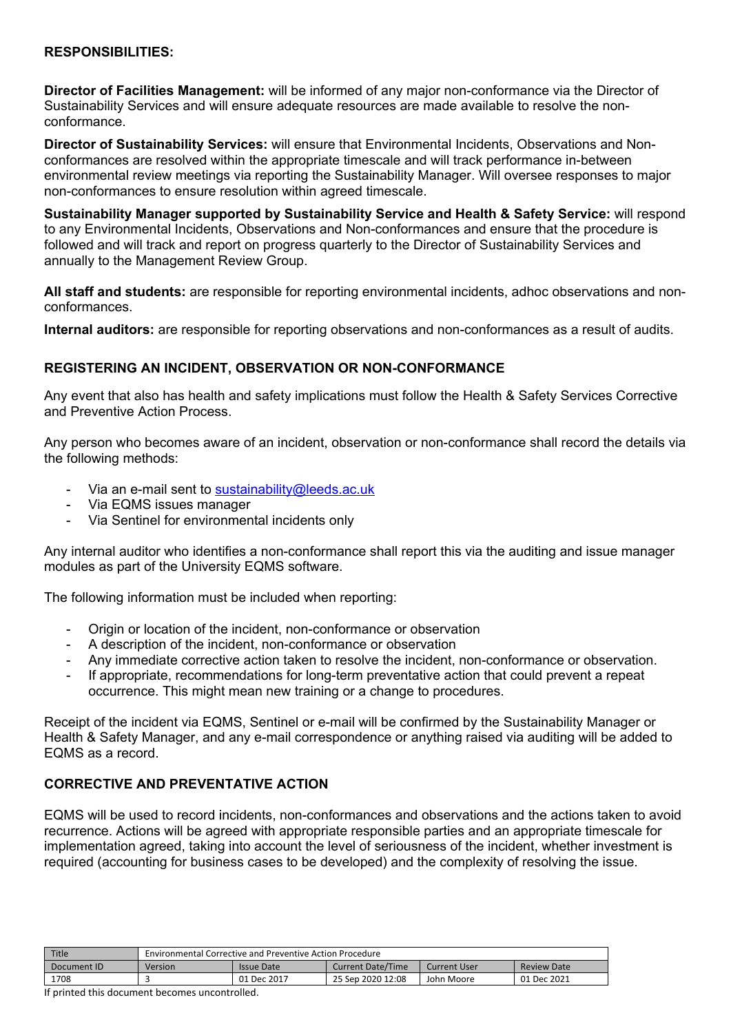#### **RESPONSIBILITIES:**

**Director of Facilities Management:** will be informed of any major non-conformance via the Director of Sustainability Services and will ensure adequate resources are made available to resolve the nonconformance.

**Director of Sustainability Services:** will ensure that Environmental Incidents, Observations and Nonconformances are resolved within the appropriate timescale and will track performance in-between environmental review meetings via reporting the Sustainability Manager. Will oversee responses to major non-conformances to ensure resolution within agreed timescale.

**Sustainability Manager supported by Sustainability Service and Health & Safety Service:** will respond to any Environmental Incidents, Observations and Non-conformances and ensure that the procedure is followed and will track and report on progress quarterly to the Director of Sustainability Services and annually to the Management Review Group.

**All staff and students:** are responsible for reporting environmental incidents, adhoc observations and nonconformances.

**Internal auditors:** are responsible for reporting observations and non-conformances as a result of audits.

# **REGISTERING AN INCIDENT, OBSERVATION OR NON-CONFORMANCE**

Any event that also has health and safety implications must follow the Health & Safety Services Corrective and Preventive Action Process.

Any person who becomes aware of an incident, observation or non-conformance shall record the details via the following methods:

- Via an e-mail sent to [sustainability@leeds.ac.uk](mailto:sustainability@leeds.ac.uk)
- Via EQMS issues manager
- Via Sentinel for environmental incidents only

Any internal auditor who identifies a non-conformance shall report this via the auditing and issue manager modules as part of the University EQMS software.

The following information must be included when reporting:

- Origin or location of the incident, non-conformance or observation
- A description of the incident, non-conformance or observation
- Any immediate corrective action taken to resolve the incident, non-conformance or observation.
- If appropriate, recommendations for long-term preventative action that could prevent a repeat occurrence. This might mean new training or a change to procedures.

Receipt of the incident via EQMS, Sentinel or e-mail will be confirmed by the Sustainability Manager or Health & Safety Manager, and any e-mail correspondence or anything raised via auditing will be added to EQMS as a record.

# **CORRECTIVE AND PREVENTATIVE ACTION**

EQMS will be used to record incidents, non-conformances and observations and the actions taken to avoid recurrence. Actions will be agreed with appropriate responsible parties and an appropriate timescale for implementation agreed, taking into account the level of seriousness of the incident, whether investment is required (accounting for business cases to be developed) and the complexity of resolving the issue.

| Title       | Environmental Corrective and Preventive Action Procedure |                   |                          |                     |                    |
|-------------|----------------------------------------------------------|-------------------|--------------------------|---------------------|--------------------|
| Document ID | Version                                                  | <b>Issue Date</b> | <b>Current Date/Time</b> | <b>Current User</b> | <b>Review Date</b> |
| 1708        |                                                          | 01 Dec 2017       | 25 Sep 2020 12:08        | John Moore          | 01 Dec 2021        |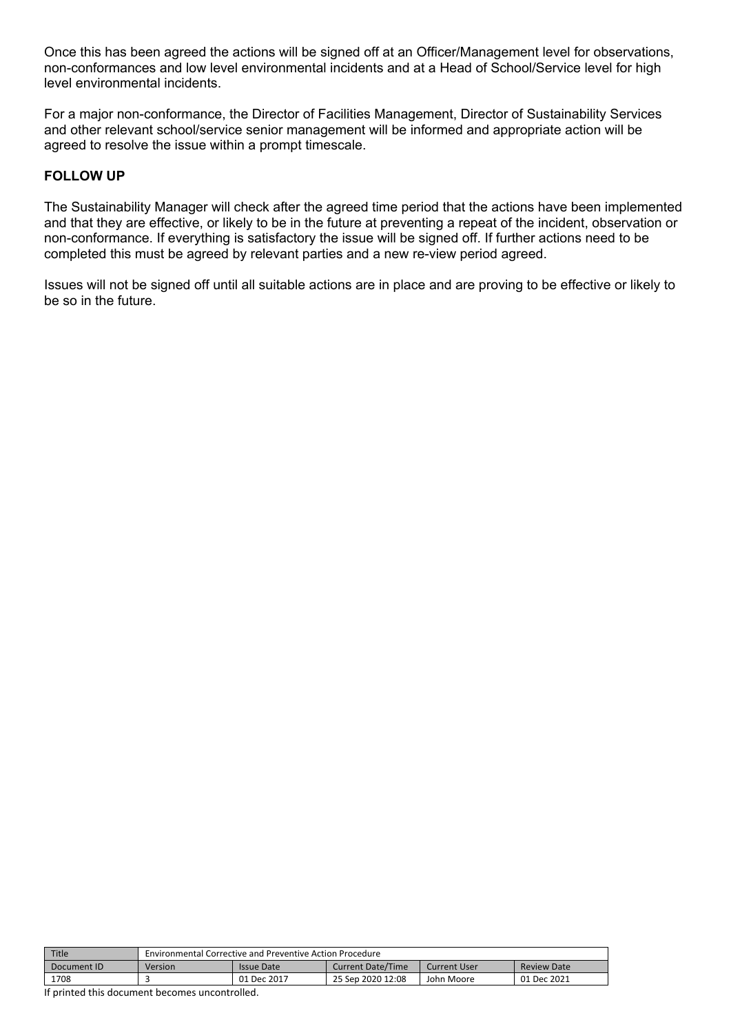Once this has been agreed the actions will be signed off at an Officer/Management level for observations, non-conformances and low level environmental incidents and at a Head of School/Service level for high level environmental incidents.

For a major non-conformance, the Director of Facilities Management, Director of Sustainability Services and other relevant school/service senior management will be informed and appropriate action will be agreed to resolve the issue within a prompt timescale.

# **FOLLOW UP**

The Sustainability Manager will check after the agreed time period that the actions have been implemented and that they are effective, or likely to be in the future at preventing a repeat of the incident, observation or non-conformance. If everything is satisfactory the issue will be signed off. If further actions need to be completed this must be agreed by relevant parties and a new re-view period agreed.

Issues will not be signed off until all suitable actions are in place and are proving to be effective or likely to be so in the future.

| <b>Title</b> | <b>Environmental Corrective and Preventive Action Procedure</b> |             |                          |              |                    |
|--------------|-----------------------------------------------------------------|-------------|--------------------------|--------------|--------------------|
| Document ID  | Version                                                         | Issue Date  | <b>Current Date/Time</b> | Current User | <b>Review Date</b> |
| 1708         |                                                                 | 01 Dec 2017 | 25 Sep 2020 12:08        | John Moore   | 01 Dec 2021        |